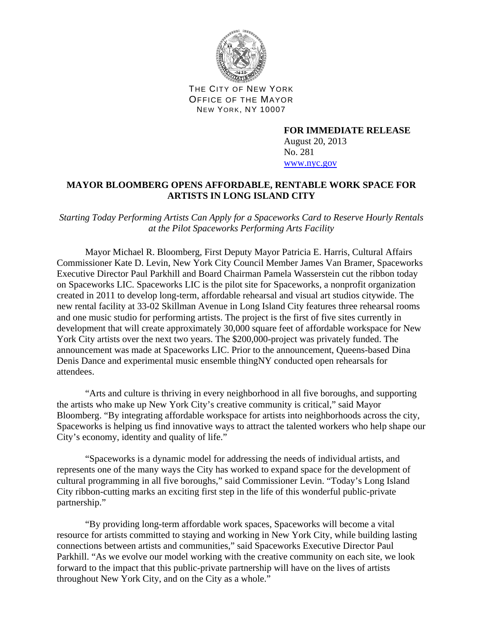

THE CITY OF NEW YORK OFFICE OF THE MAYOR NEW YORK, NY 10007

> **FOR IMMEDIATE RELEASE**  August 20, 2013 No. 281 www.nyc.gov

## **MAYOR BLOOMBERG OPENS AFFORDABLE, RENTABLE WORK SPACE FOR ARTISTS IN LONG ISLAND CITY**

*Starting Today Performing Artists Can Apply for a Spaceworks Card to Reserve Hourly Rentals at the Pilot Spaceworks Performing Arts Facility* 

 Mayor Michael R. Bloomberg, First Deputy Mayor Patricia E. Harris, Cultural Affairs Commissioner Kate D. Levin, New York City Council Member James Van Bramer, Spaceworks Executive Director Paul Parkhill and Board Chairman Pamela Wasserstein cut the ribbon today on Spaceworks LIC. Spaceworks LIC is the pilot site for Spaceworks, a nonprofit organization created in 2011 to develop long-term, affordable rehearsal and visual art studios citywide. The new rental facility at 33-02 Skillman Avenue in Long Island City features three rehearsal rooms and one music studio for performing artists. The project is the first of five sites currently in development that will create approximately 30,000 square feet of affordable workspace for New York City artists over the next two years. The \$200,000-project was privately funded. The announcement was made at Spaceworks LIC. Prior to the announcement, Queens-based Dina Denis Dance and experimental music ensemble thingNY conducted open rehearsals for attendees.

"Arts and culture is thriving in every neighborhood in all five boroughs, and supporting the artists who make up New York City's creative community is critical," said Mayor Bloomberg. "By integrating affordable workspace for artists into neighborhoods across the city, Spaceworks is helping us find innovative ways to attract the talented workers who help shape our City's economy, identity and quality of life."

 "Spaceworks is a dynamic model for addressing the needs of individual artists, and represents one of the many ways the City has worked to expand space for the development of cultural programming in all five boroughs," said Commissioner Levin. "Today's Long Island City ribbon-cutting marks an exciting first step in the life of this wonderful public-private partnership."

"By providing long-term affordable work spaces, Spaceworks will become a vital resource for artists committed to staying and working in New York City, while building lasting connections between artists and communities," said Spaceworks Executive Director Paul Parkhill. "As we evolve our model working with the creative community on each site, we look forward to the impact that this public-private partnership will have on the lives of artists throughout New York City, and on the City as a whole."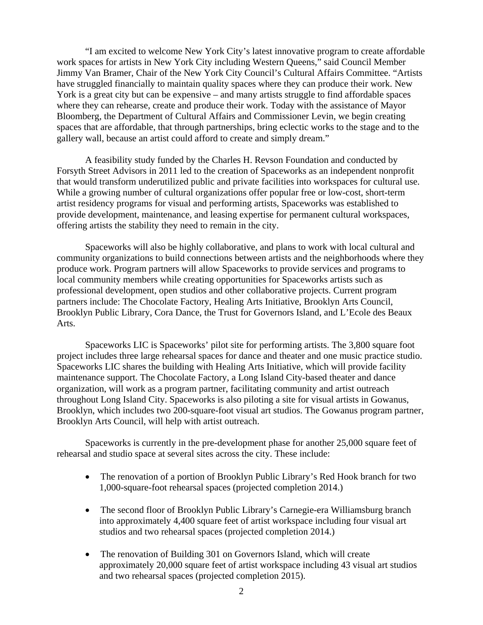"I am excited to welcome New York City's latest innovative program to create affordable work spaces for artists in New York City including Western Queens," said Council Member Jimmy Van Bramer, Chair of the New York City Council's Cultural Affairs Committee. "Artists have struggled financially to maintain quality spaces where they can produce their work. New York is a great city but can be expensive – and many artists struggle to find affordable spaces where they can rehearse, create and produce their work. Today with the assistance of Mayor Bloomberg, the Department of Cultural Affairs and Commissioner Levin, we begin creating spaces that are affordable, that through partnerships, bring eclectic works to the stage and to the gallery wall, because an artist could afford to create and simply dream."

A feasibility study funded by the Charles H. Revson Foundation and conducted by Forsyth Street Advisors in 2011 led to the creation of Spaceworks as an independent nonprofit that would transform underutilized public and private facilities into workspaces for cultural use. While a growing number of cultural organizations offer popular free or low-cost, short-term artist residency programs for visual and performing artists, Spaceworks was established to provide development, maintenance, and leasing expertise for permanent cultural workspaces, offering artists the stability they need to remain in the city.

Spaceworks will also be highly collaborative, and plans to work with local cultural and community organizations to build connections between artists and the neighborhoods where they produce work. Program partners will allow Spaceworks to provide services and programs to local community members while creating opportunities for Spaceworks artists such as professional development, open studios and other collaborative projects. Current program partners include: The Chocolate Factory, Healing Arts Initiative, Brooklyn Arts Council, Brooklyn Public Library, Cora Dance, the Trust for Governors Island, and L'Ecole des Beaux Arts.

Spaceworks LIC is Spaceworks' pilot site for performing artists. The 3,800 square foot project includes three large rehearsal spaces for dance and theater and one music practice studio. Spaceworks LIC shares the building with Healing Arts Initiative, which will provide facility maintenance support. The Chocolate Factory, a Long Island City-based theater and dance organization, will work as a program partner, facilitating community and artist outreach throughout Long Island City. Spaceworks is also piloting a site for visual artists in Gowanus, Brooklyn, which includes two 200-square-foot visual art studios. The Gowanus program partner, Brooklyn Arts Council, will help with artist outreach.

Spaceworks is currently in the pre-development phase for another 25,000 square feet of rehearsal and studio space at several sites across the city. These include:

- The renovation of a portion of Brooklyn Public Library's Red Hook branch for two 1,000-square-foot rehearsal spaces (projected completion 2014.)
- The second floor of Brooklyn Public Library's Carnegie-era Williamsburg branch into approximately 4,400 square feet of artist workspace including four visual art studios and two rehearsal spaces (projected completion 2014.)
- The renovation of Building 301 on Governors Island, which will create approximately 20,000 square feet of artist workspace including 43 visual art studios and two rehearsal spaces (projected completion 2015).